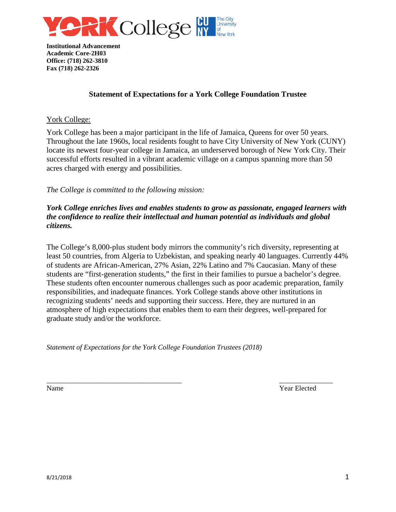

# **Statement of Expectations for a York College Foundation Trustee**

## York College:

York College has been a major participant in the life of Jamaica, Queens for over 50 years. Throughout the late 1960s, local residents fought to have City University of New York (CUNY) locate its newest four-year college in Jamaica, an underserved borough of New York City. Their successful efforts resulted in a vibrant academic village on a campus spanning more than 50 acres charged with energy and possibilities.

## *The College is committed to the following mission:*

# *York College enriches lives and enables students to grow as passionate, engaged learners with the confidence to realize their intellectual and human potential as individuals and global citizens.*

The College's 8,000-plus student body mirrors the community's rich diversity, representing at least 50 countries, from Algeria to Uzbekistan, and speaking nearly 40 languages. Currently 44% of students are African-American, 27% Asian, 22% Latino and 7% Caucasian. Many of these students are "first-generation students," the first in their families to pursue a bachelor's degree. These students often encounter numerous challenges such as poor academic preparation, family responsibilities, and inadequate finances. York College stands above other institutions in recognizing students' needs and supporting their success. Here, they are nurtured in an atmosphere of high expectations that enables them to earn their degrees, well-prepared for graduate study and/or the workforce.

\_\_\_\_\_\_\_\_\_\_\_\_\_\_\_\_\_\_\_\_\_\_\_\_\_\_\_\_\_\_\_\_\_\_\_\_\_\_ \_\_\_\_\_\_\_\_\_\_\_\_\_\_\_

*Statement of Expectations for the York College Foundation Trustees (2018)* 

Name Year Elected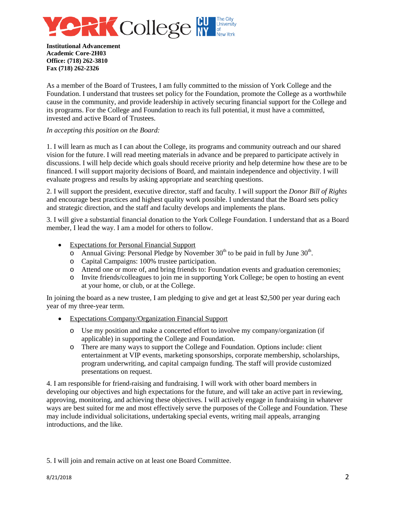

As a member of the Board of Trustees, I am fully committed to the mission of York College and the Foundation. I understand that trustees set policy for the Foundation, promote the College as a worthwhile cause in the community, and provide leadership in actively securing financial support for the College and its programs. For the College and Foundation to reach its full potential, it must have a committed, invested and active Board of Trustees.

#### *In accepting this position on the Board:*

1. I will learn as much as I can about the College, its programs and community outreach and our shared vision for the future. I will read meeting materials in advance and be prepared to participate actively in discussions. I will help decide which goals should receive priority and help determine how these are to be financed. I will support majority decisions of Board, and maintain independence and objectivity. I will evaluate progress and results by asking appropriate and searching questions.

2. I will support the president, executive director, staff and faculty. I will support the *Donor Bill of Rights* and encourage best practices and highest quality work possible. I understand that the Board sets policy and strategic direction, and the staff and faculty develops and implements the plans.

3. I will give a substantial financial donation to the York College Foundation. I understand that as a Board member, I lead the way. I am a model for others to follow.

- Expectations for Personal Financial Support
	- $\circ$  Annual Giving: Personal Pledge by November 30<sup>th</sup> to be paid in full by June 30<sup>th</sup>.
	- o Capital Campaigns: 100% trustee participation.
	- o Attend one or more of, and bring friends to: Foundation events and graduation ceremonies;
	- o Invite friends/colleagues to join me in supporting York College; be open to hosting an event at your home, or club, or at the College.

In joining the board as a new trustee, I am pledging to give and get at least \$2,500 per year during each year of my three-year term.

- Expectations Company/Organization Financial Support
	- o Use my position and make a concerted effort to involve my company/organization (if applicable) in supporting the College and Foundation.
	- o There are many ways to support the College and Foundation. Options include: client entertainment at VIP events, marketing sponsorships, corporate membership, scholarships, program underwriting, and capital campaign funding. The staff will provide customized presentations on request.

4. I am responsible for friend-raising and fundraising. I will work with other board members in developing our objectives and high expectations for the future, and will take an active part in reviewing, approving, monitoring, and achieving these objectives. I will actively engage in fundraising in whatever ways are best suited for me and most effectively serve the purposes of the College and Foundation. These may include individual solicitations, undertaking special events, writing mail appeals, arranging introductions, and the like.

5. I will join and remain active on at least one Board Committee.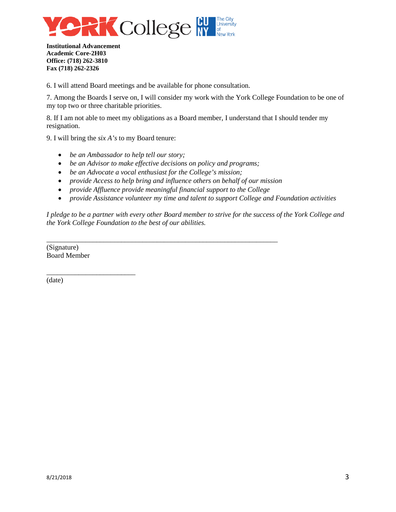

6. I will attend Board meetings and be available for phone consultation.

7. Among the Boards I serve on, I will consider my work with the York College Foundation to be one of my top two or three charitable priorities.

8. If I am not able to meet my obligations as a Board member, I understand that I should tender my resignation.

9. I will bring the *six A's* to my Board tenure:

- *be an Ambassador to help tell our story;*
- *be an Advisor to make effective decisions on policy and programs;*
- *be an Advocate a vocal enthusiast for the College's mission;*
- *provide Access to help bring and influence others on behalf of our mission*
- *provide Affluence provide meaningful financial support to the College*

\_\_\_\_\_\_\_\_\_\_\_\_\_\_\_\_\_\_\_\_\_\_\_\_\_\_\_\_\_\_\_\_\_\_\_\_\_\_\_\_\_\_\_\_\_\_\_\_\_\_\_\_\_\_\_\_\_\_\_\_\_\_\_\_\_

• *provide Assistance volunteer my time and talent to support College and Foundation activities* 

*I pledge to be a partner with every other Board member to strive for the success of the York College and the York College Foundation to the best of our abilities.* 

(Signature) Board Member

\_\_\_\_\_\_\_\_\_\_\_\_\_\_\_\_\_\_\_\_\_\_\_\_\_

(date)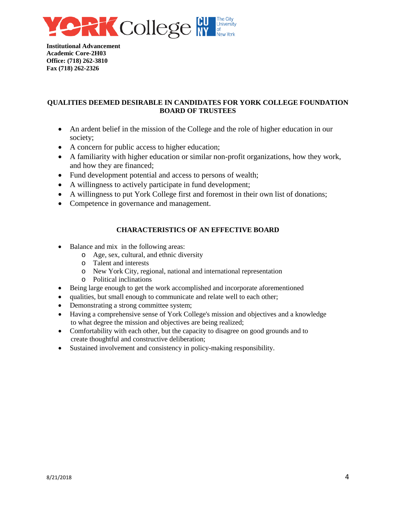

## **QUALITIES DEEMED DESIRABLE IN CANDIDATES FOR YORK COLLEGE FOUNDATION BOARD OF TRUSTEES**

- An ardent belief in the mission of the College and the role of higher education in our society;
- A concern for public access to higher education;
- A familiarity with higher education or similar non-profit organizations, how they work, and how they are financed;
- Fund development potential and access to persons of wealth;
- A willingness to actively participate in fund development;
- A willingness to put York College first and foremost in their own list of donations;
- Competence in governance and management.

# **CHARACTERISTICS OF AN EFFECTIVE BOARD**

- Balance and mix in the following areas:
	- o Age, sex, cultural, and ethnic diversity
	- o Talent and interests
	- o New York City, regional, national and international representation
	- o Political inclinations
- Being large enough to get the work accomplished and incorporate aforementioned
- qualities, but small enough to communicate and relate well to each other;
- Demonstrating a strong committee system;
- Having a comprehensive sense of York College's mission and objectives and a knowledge to what degree the mission and objectives are being realized;
- Comfortability with each other, but the capacity to disagree on good grounds and to create thoughtful and constructive deliberation;
- Sustained involvement and consistency in policy-making responsibility.